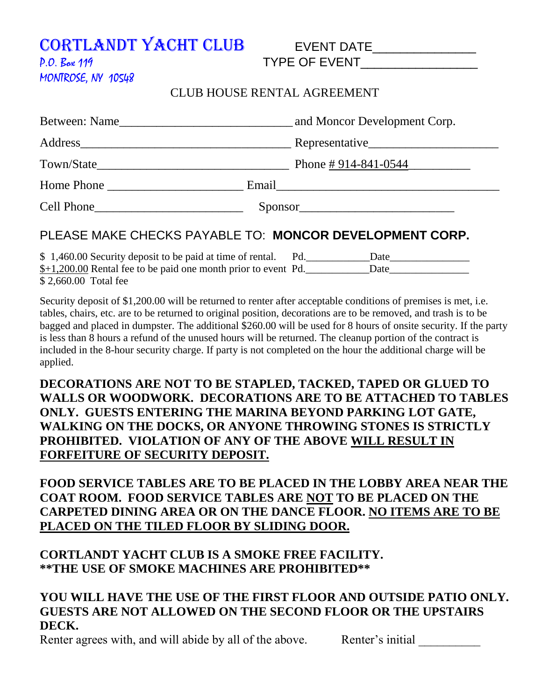## CORTLANDT YACHT CLUB EVENT DATE

P.O. Box 119 TYPE OF EVENT MONTROSE, NY 10548

#### CLUB HOUSE RENTAL AGREEMENT

|                                                          | Between: Name<br><u>Example 2014</u> and Moncor Development Corp. |
|----------------------------------------------------------|-------------------------------------------------------------------|
|                                                          |                                                                   |
|                                                          |                                                                   |
|                                                          |                                                                   |
|                                                          | Sponsor                                                           |
| DI EASE MAKE CHECKS DAVARI E TO: MONCOD DEVELODMENT CODD |                                                                   |

#### PLEASE MAKE CHECKS PAYABLE TO: **MONCOR DEVELOPMENT CORP.**

\$ 1,460.00 Security deposit to be paid at time of rental. Pd.\_\_\_\_\_\_\_\_\_\_\_\_Date\_\_\_\_\_\_\_\_\_\_\_\_\_\_\_ \$+1,200.00 Rental fee to be paid one month prior to event Pd. Date \$ 2,660.00 Total fee

Security deposit of \$1,200.00 will be returned to renter after acceptable conditions of premises is met, i.e. tables, chairs, etc. are to be returned to original position, decorations are to be removed, and trash is to be bagged and placed in dumpster. The additional \$260.00 will be used for 8 hours of onsite security. If the party is less than 8 hours a refund of the unused hours will be returned. The cleanup portion of the contract is included in the 8-hour security charge. If party is not completed on the hour the additional charge will be applied.

#### **DECORATIONS ARE NOT TO BE STAPLED, TACKED, TAPED OR GLUED TO WALLS OR WOODWORK. DECORATIONS ARE TO BE ATTACHED TO TABLES ONLY. GUESTS ENTERING THE MARINA BEYOND PARKING LOT GATE, WALKING ON THE DOCKS, OR ANYONE THROWING STONES IS STRICTLY PROHIBITED. VIOLATION OF ANY OF THE ABOVE WILL RESULT IN FORFEITURE OF SECURITY DEPOSIT.**

**FOOD SERVICE TABLES ARE TO BE PLACED IN THE LOBBY AREA NEAR THE COAT ROOM. FOOD SERVICE TABLES ARE NOT TO BE PLACED ON THE CARPETED DINING AREA OR ON THE DANCE FLOOR. NO ITEMS ARE TO BE PLACED ON THE TILED FLOOR BY SLIDING DOOR.**

#### **CORTLANDT YACHT CLUB IS A SMOKE FREE FACILITY. \*\*THE USE OF SMOKE MACHINES ARE PROHIBITED\*\***

#### **YOU WILL HAVE THE USE OF THE FIRST FLOOR AND OUTSIDE PATIO ONLY. GUESTS ARE NOT ALLOWED ON THE SECOND FLOOR OR THE UPSTAIRS DECK.**

Renter agrees with, and will abide by all of the above. Renter's initial